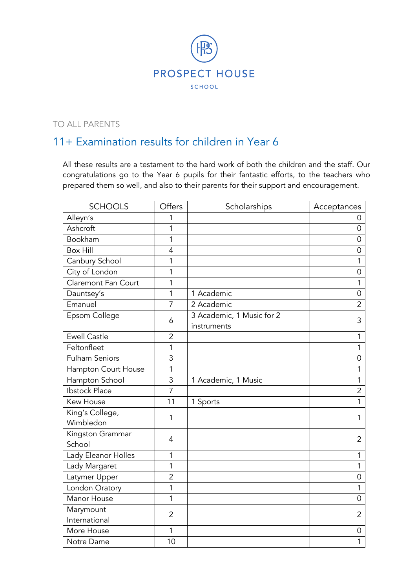

## TO ALL PARENTS

## 11+ Examination results for children in Year 6

All these results are a testament to the hard work of both the children and the staff. Our congratulations go to the Year 6 pupils for their fantastic efforts, to the teachers who prepared them so well, and also to their parents for their support and encouragement.

| <b>SCHOOLS</b>               | Offers         | Scholarships                             | Acceptances    |
|------------------------------|----------------|------------------------------------------|----------------|
| Alleyn's                     | 1              |                                          | 0              |
| Ashcroft                     | 1              |                                          | 0              |
| Bookham                      | $\mathbf{1}$   |                                          | $\overline{0}$ |
| <b>Box Hill</b>              | $\overline{4}$ |                                          | 0              |
| Canbury School               | 1              |                                          | 1              |
| City of London               | 1              |                                          | $\overline{0}$ |
| Claremont Fan Court          | 1              |                                          | 1              |
| Dauntsey's                   | 1              | 1 Academic                               | $\overline{0}$ |
| Emanuel                      | $\overline{7}$ | 2 Academic                               | $\overline{2}$ |
| Epsom College                | 6              | 3 Academic, 1 Music for 2<br>instruments | 3              |
| <b>Ewell Castle</b>          | $\overline{2}$ |                                          | 1              |
| Feltonfleet                  | 1              |                                          | 1              |
| <b>Fulham Seniors</b>        | 3              |                                          | 0              |
| Hampton Court House          | 1              |                                          | 1              |
| Hampton School               | 3              | 1 Academic, 1 Music                      | 1              |
| <b>Ibstock Place</b>         | $\overline{7}$ |                                          | $\overline{2}$ |
| <b>Kew House</b>             | 11             | 1 Sports                                 | 1              |
| King's College,<br>Wimbledon | 1              |                                          | 1              |
| Kingston Grammar<br>School   | 4              |                                          | 2              |
| Lady Eleanor Holles          | 1              |                                          | 1              |
| Lady Margaret                | 1              |                                          | 1              |
| Latymer Upper                | $\overline{2}$ |                                          | 0              |
| London Oratory               | 1              |                                          | 1              |
| Manor House                  | $\mathbf{1}$   |                                          | $\overline{0}$ |
| Marymount<br>International   | 2              |                                          | 2              |
| More House                   | 1              |                                          | 0              |
| Notre Dame                   | 10             |                                          | 1              |